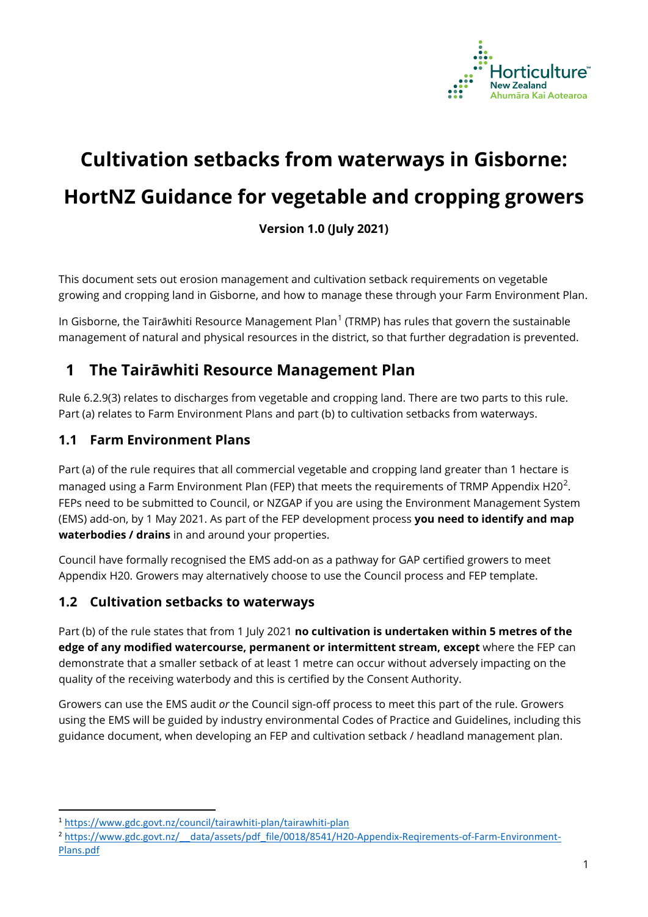

# **Cultivation setbacks from waterways in Gisborne: HortNZ Guidance for vegetable and cropping growers**

**Version 1.0 (July 2021)**

This document sets out erosion management and cultivation setback requirements on vegetable growing and cropping land in Gisborne, and how to manage these through your Farm Environment Plan.

In Gisborne, the Tairāwhiti Resource Management Plan<sup>[1](#page-0-0)</sup> (TRMP) has rules that govern the sustainable management of natural and physical resources in the district, so that further degradation is prevented.

### **1 The Tairāwhiti Resource Management Plan**

Rule 6.2.9(3) relates to discharges from vegetable and cropping land. There are two parts to this rule. Part (a) relates to Farm Environment Plans and part (b) to cultivation setbacks from waterways.

#### **1.1 Farm Environment Plans**

Part (a) of the rule requires that all commercial vegetable and cropping land greater than 1 hectare is managed using a Farm Environment Plan (FEP) that meets the requirements of TRMP Appendix H[2](#page-0-1)0<sup>2</sup>. FEPs need to be submitted to Council, or NZGAP if you are using the Environment Management System (EMS) add-on, by 1 May 2021. As part of the FEP development process **you need to identify and map waterbodies / drains** in and around your properties.

Council have formally recognised the EMS add-on as a pathway for GAP certified growers to meet Appendix H20. Growers may alternatively choose to use the Council process and FEP template.

#### **1.2 Cultivation setbacks to waterways**

Part (b) of the rule states that from 1 July 2021 **no cultivation is undertaken within 5 metres of the edge of any modified watercourse, permanent or intermittent stream, except** where the FEP can demonstrate that a smaller setback of at least 1 metre can occur without adversely impacting on the quality of the receiving waterbody and this is certified by the Consent Authority.

Growers can use the EMS audit *or* the Council sign-off process to meet this part of the rule. Growers using the EMS will be guided by industry environmental Codes of Practice and Guidelines, including this guidance document, when developing an FEP and cultivation setback / headland management plan.

<span id="page-0-0"></span><sup>1</sup> <https://www.gdc.govt.nz/council/tairawhiti-plan/tairawhiti-plan>

<span id="page-0-1"></span><sup>&</sup>lt;sup>2</sup> https://www.gdc.govt.nz/ data/assets/pdf\_file/0018/8541/H20-Appendix-Reqirements-of-Farm-Environment-[Plans.pdf](https://www.gdc.govt.nz/__data/assets/pdf_file/0018/8541/H20-Appendix-Reqirements-of-Farm-Environment-Plans.pdf)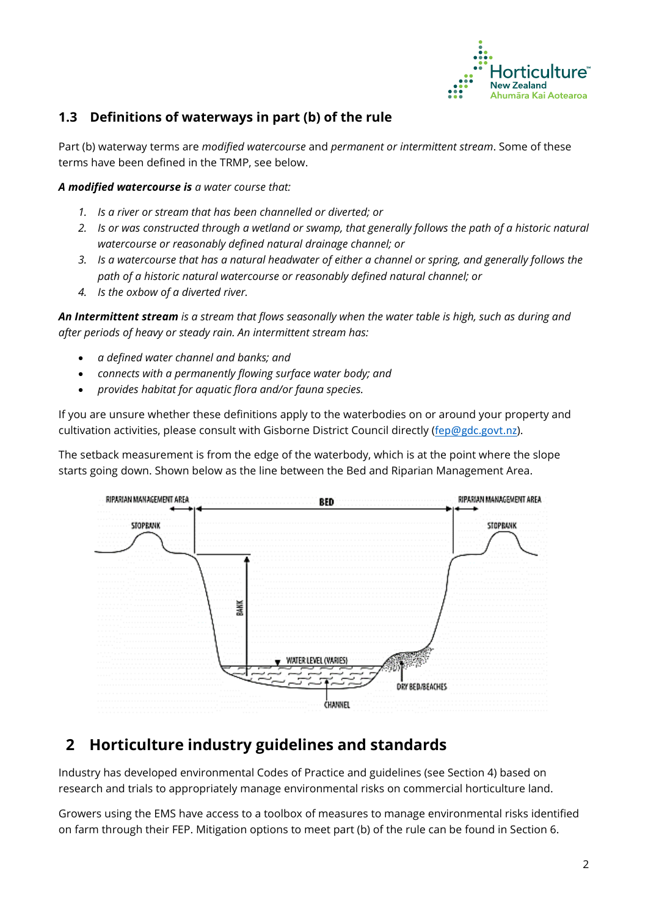

#### **1.3 Definitions of waterways in part (b) of the rule**

Part (b) waterway terms are *modified watercourse* and *permanent or intermittent stream*. Some of these terms have been defined in the TRMP, see below.

*A modified watercourse is a water course that:*

- *1. Is a river or stream that has been channelled or diverted; or*
- *2. Is or was constructed through a wetland or swamp, that generally follows the path of a historic natural watercourse or reasonably defined natural drainage channel; or*
- *3. Is a watercourse that has a natural headwater of either a channel or spring, and generally follows the path of a historic natural watercourse or reasonably defined natural channel; or*
- *4. Is the oxbow of a diverted river.*

*An Intermittent stream is a stream that flows seasonally when the water table is high, such as during and after periods of heavy or steady rain. An intermittent stream has:* 

- *a defined water channel and banks; and*
- *connects with a permanently flowing surface water body; and*
- *provides habitat for aquatic flora and/or fauna species.*

If you are unsure whether these definitions apply to the waterbodies on or around your property and cultivation activities, please consult with Gisborne District Council directly ([fep@gdc.govt.nz](mailto:fep@gdc.govt.nz)).

The setback measurement is from the edge of the waterbody, which is at the point where the slope starts going down. Shown below as the line between the Bed and Riparian Management Area.



#### **2 Horticulture industry guidelines and standards**

Industry has developed environmental Codes of Practice and guidelines (see Section 4) based on research and trials to appropriately manage environmental risks on commercial horticulture land.

Growers using the EMS have access to a toolbox of measures to manage environmental risks identified on farm through their FEP. Mitigation options to meet part (b) of the rule can be found in Section 6.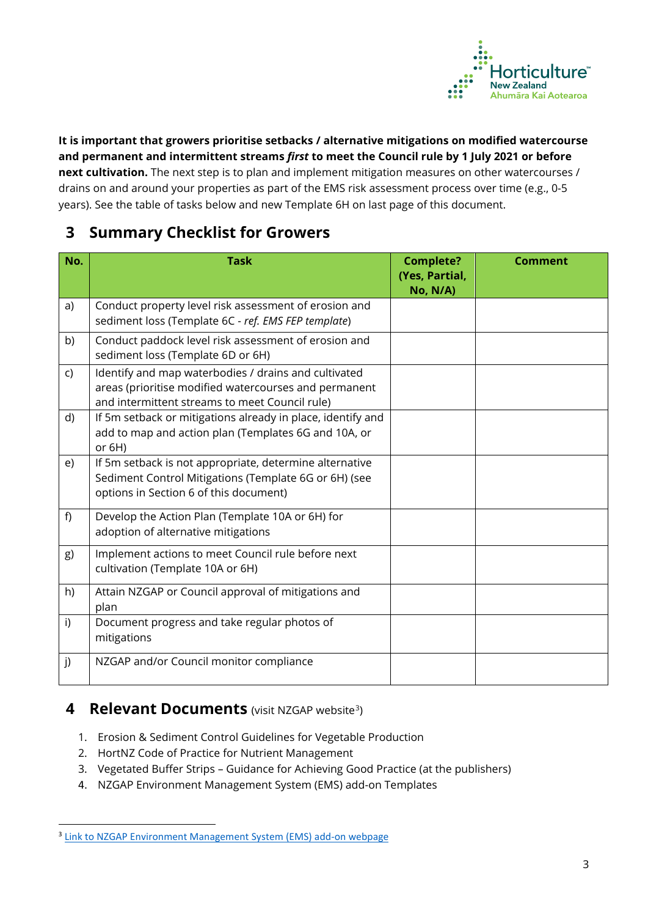

**It is important that growers prioritise setbacks / alternative mitigations on modified watercourse and permanent and intermittent streams** *first* **to meet the Council rule by 1 July 2021 or before next cultivation.** The next step is to plan and implement mitigation measures on other watercourses / drains on and around your properties as part of the EMS risk assessment process over time (e.g., 0-5 years). See the table of tasks below and new Template 6H on last page of this document.

#### **3 Summary Checklist for Growers**

| No.          | <b>Task</b>                                                                                                                                                     | <b>Complete?</b><br>(Yes, Partial,<br>No, N/A) | <b>Comment</b> |
|--------------|-----------------------------------------------------------------------------------------------------------------------------------------------------------------|------------------------------------------------|----------------|
| a)           | Conduct property level risk assessment of erosion and<br>sediment loss (Template 6C - ref. EMS FEP template)                                                    |                                                |                |
| b)           | Conduct paddock level risk assessment of erosion and<br>sediment loss (Template 6D or 6H)                                                                       |                                                |                |
| $\mathsf{C}$ | Identify and map waterbodies / drains and cultivated<br>areas (prioritise modified watercourses and permanent<br>and intermittent streams to meet Council rule) |                                                |                |
| d)           | If 5m setback or mitigations already in place, identify and<br>add to map and action plan (Templates 6G and 10A, or<br>or $6H$ )                                |                                                |                |
| e)           | If 5m setback is not appropriate, determine alternative<br>Sediment Control Mitigations (Template 6G or 6H) (see<br>options in Section 6 of this document)      |                                                |                |
| f)           | Develop the Action Plan (Template 10A or 6H) for<br>adoption of alternative mitigations                                                                         |                                                |                |
| g)           | Implement actions to meet Council rule before next<br>cultivation (Template 10A or 6H)                                                                          |                                                |                |
| h)           | Attain NZGAP or Council approval of mitigations and<br>plan                                                                                                     |                                                |                |
| i)           | Document progress and take regular photos of<br>mitigations                                                                                                     |                                                |                |
| j)           | NZGAP and/or Council monitor compliance                                                                                                                         |                                                |                |

#### **4 Relevant Documents** (visit NZGAP website<sup>[3](#page-2-0)</sup>)

- 1. Erosion & Sediment Control Guidelines for Vegetable Production
- 2. HortNZ Code of Practice for Nutrient Management
- 3. Vegetated Buffer Strips Guidance for Achieving Good Practice (at the publishers)
- 4. NZGAP Environment Management System (EMS) add-on Templates

<span id="page-2-0"></span><sup>&</sup>lt;sup>3</sup> [Link to NZGAP Environment Management System \(EMS\) add-on webpage](https://www.nzgap.co.nz/NZGAP_Public/Programmes/Environment_Addon/NZGAP_Public/Programmes/Environment_)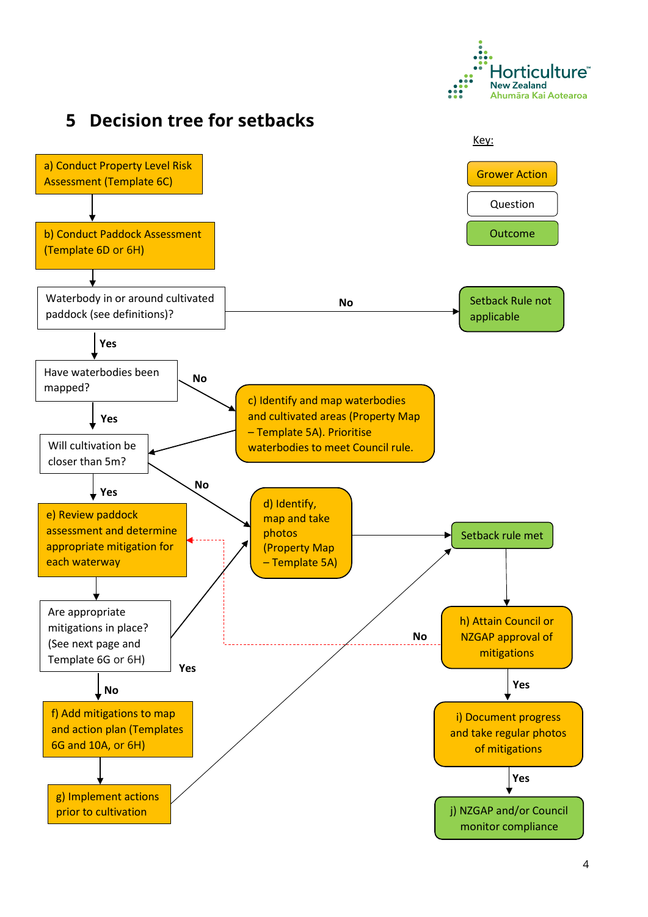

## **5 Decision tree for setbacks**

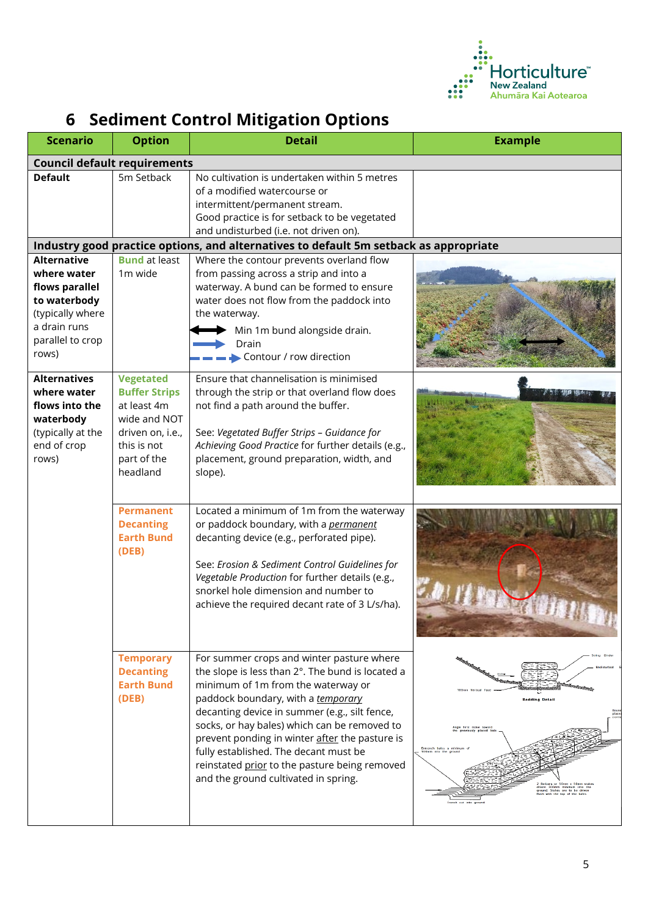

## **6 Sediment Control Mitigation Options**

| <b>Scenario</b>                                                                                                                      | <b>Option</b>                                                                                                                         | <b>Detail</b>                                                                                                                                                                                                                                                                                                                                                                                                                                                  | <b>Example</b>                                                                                                                                                                                |  |  |  |  |  |  |
|--------------------------------------------------------------------------------------------------------------------------------------|---------------------------------------------------------------------------------------------------------------------------------------|----------------------------------------------------------------------------------------------------------------------------------------------------------------------------------------------------------------------------------------------------------------------------------------------------------------------------------------------------------------------------------------------------------------------------------------------------------------|-----------------------------------------------------------------------------------------------------------------------------------------------------------------------------------------------|--|--|--|--|--|--|
| <b>Council default requirements</b>                                                                                                  |                                                                                                                                       |                                                                                                                                                                                                                                                                                                                                                                                                                                                                |                                                                                                                                                                                               |  |  |  |  |  |  |
| <b>Default</b>                                                                                                                       | 5m Setback                                                                                                                            | No cultivation is undertaken within 5 metres<br>of a modified watercourse or<br>intermittent/permanent stream.<br>Good practice is for setback to be vegetated<br>and undisturbed (i.e. not driven on).                                                                                                                                                                                                                                                        |                                                                                                                                                                                               |  |  |  |  |  |  |
| Industry good practice options, and alternatives to default 5m setback as appropriate                                                |                                                                                                                                       |                                                                                                                                                                                                                                                                                                                                                                                                                                                                |                                                                                                                                                                                               |  |  |  |  |  |  |
| <b>Alternative</b><br>where water<br>flows parallel<br>to waterbody<br>(typically where<br>a drain runs<br>parallel to crop<br>rows) | <b>Bund</b> at least<br>1m wide                                                                                                       | Where the contour prevents overland flow<br>from passing across a strip and into a<br>waterway. A bund can be formed to ensure<br>water does not flow from the paddock into<br>the waterway.<br>Min 1m bund alongside drain.<br>Drain<br>Contour / row direction                                                                                                                                                                                               |                                                                                                                                                                                               |  |  |  |  |  |  |
| <b>Alternatives</b><br>where water<br>flows into the<br>waterbody<br>(typically at the<br>end of crop<br>rows)                       | <b>Vegetated</b><br><b>Buffer Strips</b><br>at least 4m<br>wide and NOT<br>driven on, i.e.,<br>this is not<br>part of the<br>headland | Ensure that channelisation is minimised<br>through the strip or that overland flow does<br>not find a path around the buffer.<br>See: Vegetated Buffer Strips - Guidance for<br>Achieving Good Practice for further details (e.g.,<br>placement, ground preparation, width, and<br>slope).                                                                                                                                                                     |                                                                                                                                                                                               |  |  |  |  |  |  |
|                                                                                                                                      | <b>Permanent</b><br><b>Decanting</b><br><b>Earth Bund</b><br>(DEB)                                                                    | Located a minimum of 1m from the waterway<br>or paddock boundary, with a permanent<br>decanting device (e.g., perforated pipe).<br>See: Erosion & Sediment Control Guidelines for<br>Vegetable Production for further details (e.g.,<br>snorkel hole dimension and number to<br>achieve the required decant rate of 3 L/s/ha).                                                                                                                                 |                                                                                                                                                                                               |  |  |  |  |  |  |
|                                                                                                                                      | <b>Temporary</b><br><b>Decanting</b><br><b>Earth Bund</b><br>(DEB)                                                                    | For summer crops and winter pasture where<br>the slope is less than 2°. The bund is located a<br>minimum of 1m from the waterway or<br>paddock boundary, with a temporary<br>decanting device in summer (e.g., silt fence,<br>socks, or hay bales) which can be removed to<br>prevent ponding in winter after the pasture is<br>fully established. The decant must be<br>reinstated prior to the pasture being removed<br>and the ground cultivated in spring. | <b>Bedding Detail</b><br>first stake towi<br>reviously placed<br>Re-bars or 50mm x 50mm stake<br>driven 300mm minimum into th<br>ground. Stakes are to be driven<br>with the top of the bales |  |  |  |  |  |  |